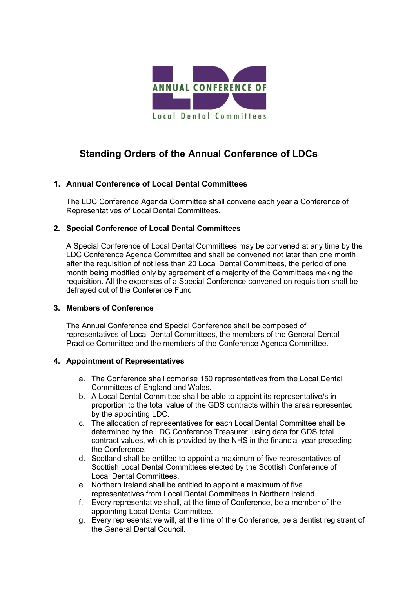

# **Standing Orders of the Annual Conference of LDCs**

## **1. Annual Conference of Local Dental Committees**

The LDC Conference Agenda Committee shall convene each year a Conference of Representatives of Local Dental Committees.

## **2. Special Conference of Local Dental Committees**

A Special Conference of Local Dental Committees may be convened at any time by the LDC Conference Agenda Committee and shall be convened not later than one month after the requisition of not less than 20 Local Dental Committees, the period of one month being modified only by agreement of a majority of the Committees making the requisition. All the expenses of a Special Conference convened on requisition shall be defrayed out of the Conference Fund.

### **3. Members of Conference**

The Annual Conference and Special Conference shall be composed of representatives of Local Dental Committees, the members of the General Dental Practice Committee and the members of the Conference Agenda Committee.

### **4. Appointment of Representatives**

- a. The Conference shall comprise 150 representatives from the Local Dental Committees of England and Wales.
- b. A Local Dental Committee shall be able to appoint its representative/s in proportion to the total value of the GDS contracts within the area represented by the appointing LDC.
- c. The allocation of representatives for each Local Dental Committee shall be determined by the LDC Conference Treasurer, using data for GDS total contract values, which is provided by the NHS in the financial year preceding the Conference.
- d. Scotland shall be entitled to appoint a maximum of five representatives of Scottish Local Dental Committees elected by the Scottish Conference of Local Dental Committees.
- e. Northern Ireland shall be entitled to appoint a maximum of five representatives from Local Dental Committees in Northern Ireland.
- f. Every representative shall, at the time of Conference, be a member of the appointing Local Dental Committee.
- g. Every representative will, at the time of the Conference, be a dentist registrant of the General Dental Council.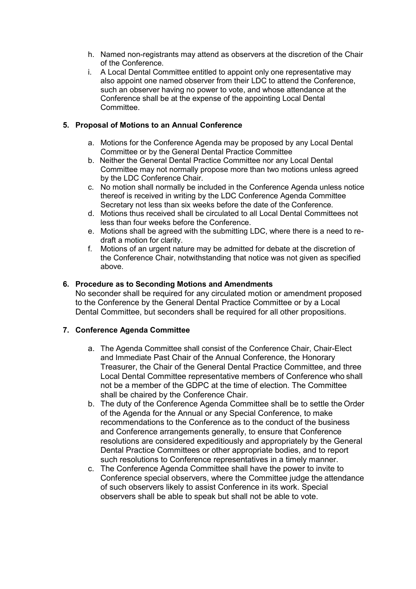- h. Named non-registrants may attend as observers at the discretion of the Chair of the Conference.
- i. A Local Dental Committee entitled to appoint only one representative may also appoint one named observer from their LDC to attend the Conference, such an observer having no power to vote, and whose attendance at the Conference shall be at the expense of the appointing Local Dental **Committee.**

## **5. Proposal of Motions to an Annual Conference**

- a. Motions for the Conference Agenda may be proposed by any Local Dental Committee or by the General Dental Practice Committee
- b. Neither the General Dental Practice Committee nor any Local Dental Committee may not normally propose more than two motions unless agreed by the LDC Conference Chair.
- c. No motion shall normally be included in the Conference Agenda unless notice thereof is received in writing by the LDC Conference Agenda Committee Secretary not less than six weeks before the date of the Conference.
- d. Motions thus received shall be circulated to all Local Dental Committees not less than four weeks before the Conference.
- e. Motions shall be agreed with the submitting LDC, where there is a need to redraft a motion for clarity.
- f. Motions of an urgent nature may be admitted for debate at the discretion of the Conference Chair, notwithstanding that notice was not given as specified above.

### **6. Procedure as to Seconding Motions and Amendments**

No seconder shall be required for any circulated motion or amendment proposed to the Conference by the General Dental Practice Committee or by a Local Dental Committee, but seconders shall be required for all other propositions.

### **7. Conference Agenda Committee**

- a. The Agenda Committee shall consist of the Conference Chair, Chair-Elect and Immediate Past Chair of the Annual Conference, the Honorary Treasurer, the Chair of the General Dental Practice Committee, and three Local Dental Committee representative members of Conference who shall not be a member of the GDPC at the time of election. The Committee shall be chaired by the Conference Chair.
- b. The duty of the Conference Agenda Committee shall be to settle the Order of the Agenda for the Annual or any Special Conference, to make recommendations to the Conference as to the conduct of the business and Conference arrangements generally, to ensure that Conference resolutions are considered expeditiously and appropriately by the General Dental Practice Committees or other appropriate bodies, and to report such resolutions to Conference representatives in a timely manner.
- c. The Conference Agenda Committee shall have the power to invite to Conference special observers, where the Committee judge the attendance of such observers likely to assist Conference in its work. Special observers shall be able to speak but shall not be able to vote.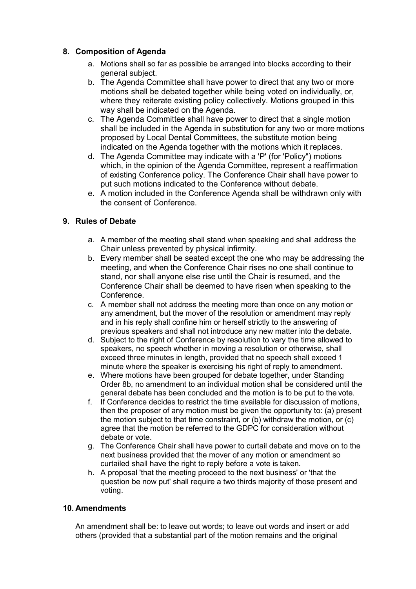## **8. Composition of Agenda**

- a. Motions shall so far as possible be arranged into blocks according to their general subject.
- b. The Agenda Committee shall have power to direct that any two or more motions shall be debated together while being voted on individually, or, where they reiterate existing policy collectively. Motions grouped in this way shall be indicated on the Agenda.
- c. The Agenda Committee shall have power to direct that a single motion shall be included in the Agenda in substitution for any two or more motions proposed by Local Dental Committees, the substitute motion being indicated on the Agenda together with the motions which it replaces.
- d. The Agenda Committee may indicate with a 'P' (for 'Policy") motions which, in the opinion of the Agenda Committee, represent a reaffirmation of existing Conference policy. The Conference Chair shall have power to put such motions indicated to the Conference without debate.
- e. A motion included in the Conference Agenda shall be withdrawn only with the consent of Conference.

## **9. Rules of Debate**

- a. A member of the meeting shall stand when speaking and shall address the Chair unless prevented by physical infirmity.
- b. Every member shall be seated except the one who may be addressing the meeting, and when the Conference Chair rises no one shall continue to stand, nor shall anyone else rise until the Chair is resumed, and the Conference Chair shall be deemed to have risen when speaking to the Conference.
- c. A member shall not address the meeting more than once on any motion or any amendment, but the mover of the resolution or amendment may reply and in his reply shall confine him or herself strictly to the answering of previous speakers and shall not introduce any new matter into the debate.
- d. Subject to the right of Conference by resolution to vary the time allowed to speakers, no speech whether in moving a resolution or otherwise, shall exceed three minutes in length, provided that no speech shall exceed 1 minute where the speaker is exercising his right of reply to amendment.
- e. Where motions have been grouped for debate together, under Standing Order 8b, no amendment to an individual motion shall be considered until the general debate has been concluded and the motion is to be put to the vote.
- f. If Conference decides to restrict the time available for discussion of motions, then the proposer of any motion must be given the opportunity to: (a) present the motion subject to that time constraint, or (b) withdraw the motion, or (c) agree that the motion be referred to the GDPC for consideration without debate or vote.
- g. The Conference Chair shall have power to curtail debate and move on to the next business provided that the mover of any motion or amendment so curtailed shall have the right to reply before a vote is taken.
- h. A proposal 'that the meeting proceed to the next business' or 'that the question be now put' shall require a two thirds majority of those present and voting.

## **10. Amendments**

An amendment shall be: to leave out words; to leave out words and insert or add others (provided that a substantial part of the motion remains and the original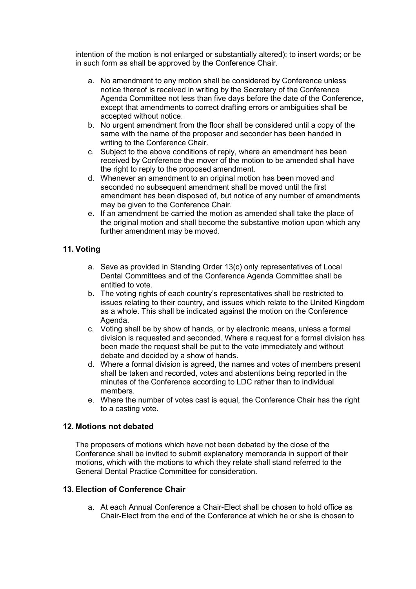intention of the motion is not enlarged or substantially altered); to insert words; or be in such form as shall be approved by the Conference Chair.

- a. No amendment to any motion shall be considered by Conference unless notice thereof is received in writing by the Secretary of the Conference Agenda Committee not less than five days before the date of the Conference, except that amendments to correct drafting errors or ambiguities shall be accepted without notice.
- b. No urgent amendment from the floor shall be considered until a copy of the same with the name of the proposer and seconder has been handed in writing to the Conference Chair.
- c. Subject to the above conditions of reply, where an amendment has been received by Conference the mover of the motion to be amended shall have the right to reply to the proposed amendment.
- d. Whenever an amendment to an original motion has been moved and seconded no subsequent amendment shall be moved until the first amendment has been disposed of, but notice of any number of amendments may be given to the Conference Chair.
- e. If an amendment be carried the motion as amended shall take the place of the original motion and shall become the substantive motion upon which any further amendment may be moved.

## **11. Voting**

- a. Save as provided in Standing Order 13(c) only representatives of Local Dental Committees and of the Conference Agenda Committee shall be entitled to vote.
- b. The voting rights of each country's representatives shall be restricted to issues relating to their country, and issues which relate to the United Kingdom as a whole. This shall be indicated against the motion on the Conference Agenda.
- c. Voting shall be by show of hands, or by electronic means, unless a formal division is requested and seconded. Where a request for a formal division has been made the request shall be put to the vote immediately and without debate and decided by a show of hands.
- d. Where a formal division is agreed, the names and votes of members present shall be taken and recorded, votes and abstentions being reported in the minutes of the Conference according to LDC rather than to individual members.
- e. Where the number of votes cast is equal, the Conference Chair has the right to a casting vote.

### **12. Motions not debated**

The proposers of motions which have not been debated by the close of the Conference shall be invited to submit explanatory memoranda in support of their motions, which with the motions to which they relate shall stand referred to the General Dental Practice Committee for consideration.

## **13. Election of Conference Chair**

a. At each Annual Conference a Chair-Elect shall be chosen to hold office as Chair-Elect from the end of the Conference at which he or she is chosen to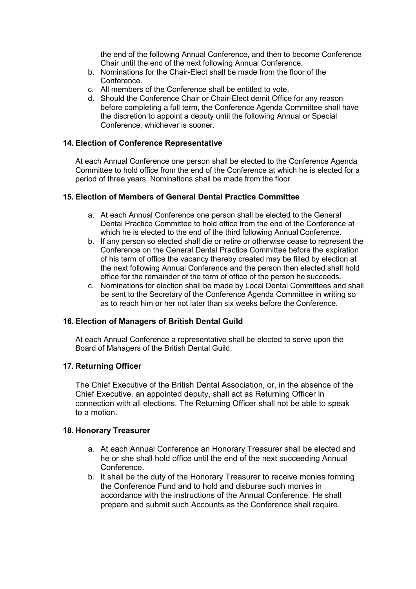the end of the following Annual Conference, and then to become Conference Chair until the end of the next following Annual Conference.

- b. Nominations for the Chair-Elect shall be made from the floor of the Conference.
- c. All members of the Conference shall be entitled to vote.
- d. Should the Conference Chair or Chair-Elect demit Office for any reason before completing a full term, the Conference Agenda Committee shall have the discretion to appoint a deputy until the following Annual or Special Conference, whichever is sooner.

### **14. Election of Conference Representative**

At each Annual Conference one person shall be elected to the Conference Agenda Committee to hold office from the end of the Conference at which he is elected for a period of three years. Nominations shall be made from the floor.

## **15. Election of Members of General Dental Practice Committee**

- a. At each Annual Conference one person shall be elected to the General Dental Practice Committee to hold office from the end of the Conference at which he is elected to the end of the third following Annual Conference.
- b. If any person so elected shall die or retire or otherwise cease to represent the Conference on the General Dental Practice Committee before the expiration of his term of office the vacancy thereby created may be filled by election at the next following Annual Conference and the person then elected shall hold office for the remainder of the term of office of the person he succeeds.
- c. Nominations for election shall be made by Local Dental Committees and shall be sent to the Secretary of the Conference Agenda Committee in writing so as to reach him or her not later than six weeks before the Conference.

## **16. Election of Managers of British Dental Guild**

At each Annual Conference a representative shall be elected to serve upon the Board of Managers of the British Dental Guild.

### **17. Returning Officer**

The Chief Executive of the British Dental Association, or, in the absence of the Chief Executive, an appointed deputy, shall act as Returning Officer in connection with all elections. The Returning Officer shall not be able to speak to a motion.

### **18. Honorary Treasurer**

- a. At each Annual Conference an Honorary Treasurer shall be elected and he or she shall hold office until the end of the next succeeding Annual Conference.
- b. It shall be the duty of the Honorary Treasurer to receive monies forming the Conference Fund and to hold and disburse such monies in accordance with the instructions of the Annual Conference. He shall prepare and submit such Accounts as the Conference shall require.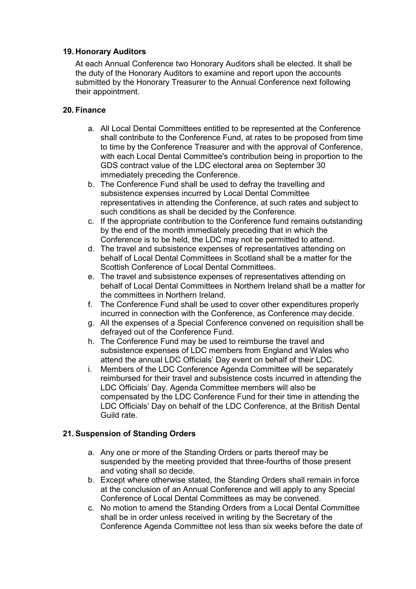## **19. Honorary Auditors**

At each Annual Conference two Honorary Auditors shall be elected. It shall be the duty of the Honorary Auditors to examine and report upon the accounts submitted by the Honorary Treasurer to the Annual Conference next following their appointment.

## **20. Finance**

- a. All Local Dental Committees entitled to be represented at the Conference shall contribute to the Conference Fund, at rates to be proposed from time to time by the Conference Treasurer and with the approval of Conference, with each Local Dental Committee's contribution being in proportion to the GDS contract value of the LDC electoral area on September 30 immediately preceding the Conference.
- b. The Conference Fund shall be used to defray the travelling and subsistence expenses incurred by Local Dental Committee representatives in attending the Conference, at such rates and subject to such conditions as shall be decided by the Conference.
- c. If the appropriate contribution to the Conference fund remains outstanding by the end of the month immediately preceding that in which the Conference is to be held, the LDC may not be permitted to attend.
- d. The travel and subsistence expenses of representatives attending on behalf of Local Dental Committees in Scotland shall be a matter for the Scottish Conference of Local Dental Committees.
- e. The travel and subsistence expenses of representatives attending on behalf of Local Dental Committees in Northern Ireland shall be a matter for the committees in Northern Ireland.
- f. The Conference Fund shall be used to cover other expenditures properly incurred in connection with the Conference, as Conference may decide.
- g. All the expenses of a Special Conference convened on requisition shall be defrayed out of the Conference Fund.
- h. The Conference Fund may be used to reimburse the travel and subsistence expenses of LDC members from England and Wales who attend the annual LDC Officials' Day event on behalf of their LDC.
- i. Members of the LDC Conference Agenda Committee will be separately reimbursed for their travel and subsistence costs incurred in attending the LDC Officials' Day. Agenda Committee members will also be compensated by the LDC Conference Fund for their time in attending the LDC Officials' Day on behalf of the LDC Conference, at the British Dental Guild rate.

## **21. Suspension of Standing Orders**

- a. Any one or more of the Standing Orders or parts thereof may be suspended by the meeting provided that three-fourths of those present and voting shall so decide.
- b. Except where otherwise stated, the Standing Orders shall remain in force at the conclusion of an Annual Conference and will apply to any Special Conference of Local Dental Committees as may be convened.
- c. No motion to amend the Standing Orders from a Local Dental Committee shall be in order unless received in writing by the Secretary of the Conference Agenda Committee not less than six weeks before the date of